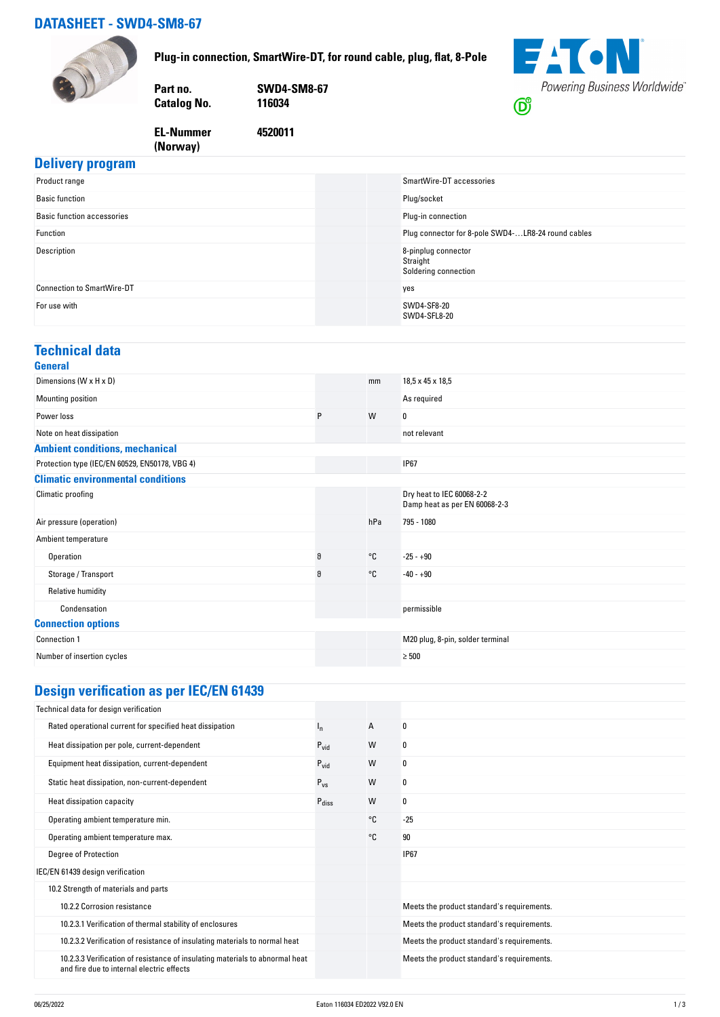## **DATASHEET - SWD4-SM8-67**



**Plug-in connection, SmartWire-DT, for round cable, plug, flat, 8-Pole**



**4520011**

**FACN** Powering Business Worldwide®  $\bigcirc$ 

#### **EL-Nummer (Norway)**

|  | <b>Delivery program</b> |
|--|-------------------------|
|  |                         |

| Product range                     | SmartWire-DT accessories                                |
|-----------------------------------|---------------------------------------------------------|
| <b>Basic function</b>             | Plug/socket                                             |
| <b>Basic function accessories</b> | Plug-in connection                                      |
| Function                          | Plug connector for 8-pole SWD4-LR8-24 round cables      |
| Description                       | 8-pinplug connector<br>Straight<br>Soldering connection |
| <b>Connection to SmartWire-DT</b> | yes                                                     |
| For use with                      | SWD4-SF8-20<br>SWD4-SFL8-20                             |

#### **Technical data**

| General                                        |   |              |                                                            |
|------------------------------------------------|---|--------------|------------------------------------------------------------|
| Dimensions (W x H x D)                         |   | mm           | 18,5 x 45 x 18,5                                           |
| Mounting position                              |   |              | As required                                                |
| Power loss                                     | P | W            | 0                                                          |
| Note on heat dissipation                       |   |              | not relevant                                               |
| <b>Ambient conditions, mechanical</b>          |   |              |                                                            |
| Protection type (IEC/EN 60529, EN50178, VBG 4) |   |              | <b>IP67</b>                                                |
| <b>Climatic environmental conditions</b>       |   |              |                                                            |
| Climatic proofing                              |   |              | Dry heat to IEC 60068-2-2<br>Damp heat as per EN 60068-2-3 |
| Air pressure (operation)                       |   | hPa          | 795 - 1080                                                 |
| Ambient temperature                            |   |              |                                                            |
| Operation                                      | 9 | $^{\circ}$ C | $-25 - +90$                                                |
| Storage / Transport                            | 9 | °C           | $-40 - +90$                                                |
| Relative humidity                              |   |              |                                                            |
| Condensation                                   |   |              | permissible                                                |
| <b>Connection options</b>                      |   |              |                                                            |
| Connection 1                                   |   |              | M20 plug, 8-pin, solder terminal                           |
| Number of insertion cycles                     |   |              | $\geq 500$                                                 |

# **Design verification as per IEC/EN 61439**

| Technical data for design verification                                                                                    |                   |    |                                            |
|---------------------------------------------------------------------------------------------------------------------------|-------------------|----|--------------------------------------------|
| Rated operational current for specified heat dissipation                                                                  | Ιņ.               | A  | 0                                          |
| Heat dissipation per pole, current-dependent                                                                              | $P_{\text{vid}}$  | W  | 0                                          |
| Equipment heat dissipation, current-dependent                                                                             | $P_{\text{vid}}$  | W  | 0                                          |
| Static heat dissipation, non-current-dependent                                                                            | $P_{VS}$          | W  | 0                                          |
| Heat dissipation capacity                                                                                                 | $P_{\text{diss}}$ | W  | 0                                          |
| Operating ambient temperature min.                                                                                        |                   | °C | $-25$                                      |
| Operating ambient temperature max.                                                                                        |                   | °C | 90                                         |
| <b>Degree of Protection</b>                                                                                               |                   |    | <b>IP67</b>                                |
| IEC/EN 61439 design verification                                                                                          |                   |    |                                            |
| 10.2 Strength of materials and parts                                                                                      |                   |    |                                            |
| 10.2.2 Corrosion resistance                                                                                               |                   |    | Meets the product standard's requirements. |
| 10.2.3.1 Verification of thermal stability of enclosures                                                                  |                   |    | Meets the product standard's requirements. |
| 10.2.3.2 Verification of resistance of insulating materials to normal heat                                                |                   |    | Meets the product standard's requirements. |
| 10.2.3.3 Verification of resistance of insulating materials to abnormal heat<br>and fire due to internal electric effects |                   |    | Meets the product standard's requirements. |